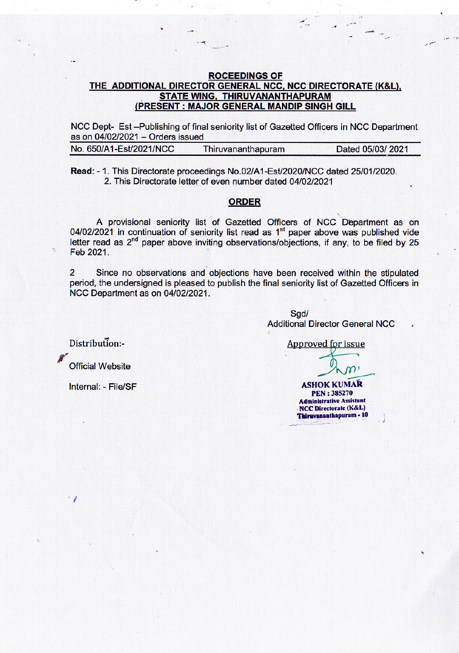## **ROCEEDINGS OF** THE ADDITIONAL DIRECTOR GENERAL NCC, NCC DIRECTORATE (K&L), STATE WING, THIRUVANANTHAPURAM (PRESENT : MAJOR GENERAL MANDIP SINGH GILL

NCC Dept- Est-Publishing of final seniority list of Gazetted Officers in NCC Department as on 04/02/2021 - Orders issued

| Dated 05/03/2021 |
|------------------|
|                  |

Read: - 1. This Directorate proceedings No.02/A1-Est/2020/NCC dated 25/01/2020. 2. This Directorate letter of even number dated 04/02/2021

## **ORDER**

A provisional seniority list of Gazetted Officers of NCC Department as on 04/02/2021 in continuation of seniority list read as 1<sup>st</sup> paper above was published vide letter read as  $2<sup>nd</sup>$  paper above inviting observations/objections, if any, to be filed by 25 Feb 2021.

 $\overline{2}$ Since no observations and objections have been received within the stipulated period, the undersigned is pleased to publish the final seniority list of Gazetted Officers in NCC Department as on 04/02/2021.

> Sgd/ **Additional Director General NCC**

Distribution:-

 $\alpha$ 

**Official Website** 

Internal: - File/SF

**Approved for issue** 

**ASHOK KUMAR PEN: 385270 Administrative Assistant NCC Directorate (K&L)** Thiruvananthapuram - 10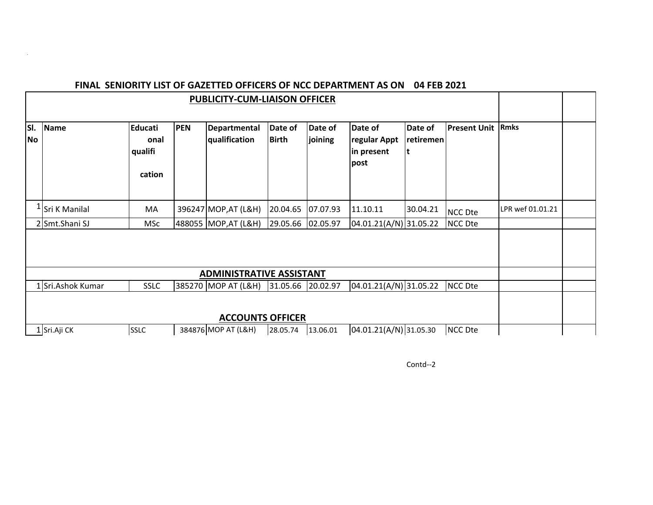| <b>PUBLICITY-CUM-LIAISON OFFICER</b> |                            |                                      |            |                                      |                         |                    |                                               |                      |                     |                  |  |
|--------------------------------------|----------------------------|--------------------------------------|------------|--------------------------------------|-------------------------|--------------------|-----------------------------------------------|----------------------|---------------------|------------------|--|
| SI.<br><b>No</b>                     | <b>Name</b>                | Educati<br>onal<br>qualifi<br>cation | <b>PEN</b> | <b>Departmental</b><br>qualification | Date of<br><b>Birth</b> | Date of<br>joining | Date of<br>regular Appt<br>in present<br>post | Date of<br>retiremen | <b>Present Unit</b> | <b>Rmks</b>      |  |
|                                      | <sup>1</sup> Sri K Manilal | МA                                   |            | 396247 MOP, AT (L&H)                 | 20.04.65                | 07.07.93           | 11.10.11                                      | 30.04.21             | <b>NCC Dte</b>      | LPR wef 01.01.21 |  |
|                                      | 2 Smt.Shani SJ             | MSc                                  |            | 488055 MOP, AT (L&H)                 | 29.05.66                | 02.05.97           | 04.01.21(A/N) 31.05.22                        |                      | <b>NCC Dte</b>      |                  |  |
|                                      |                            |                                      |            | <b>ADMINISTRATIVE ASSISTANT</b>      |                         |                    |                                               |                      |                     |                  |  |
|                                      | 1 Sri.Ashok Kumar          | <b>SSLC</b>                          |            | 385270 MOP AT (L&H)                  | 31.05.66 20.02.97       |                    | $04.01.21(A/N)$ 31.05.22                      |                      | NCC Dte             |                  |  |
|                                      |                            |                                      |            | <b>ACCOUNTS OFFICER</b>              |                         |                    |                                               |                      |                     |                  |  |
|                                      | 1 Sri.Aji CK               | <b>SSLC</b>                          |            | 384876 MOP AT (L&H)                  | 28.05.74                | 13.06.01           | 04.01.21(A/N) 31.05.30                        |                      | <b>NCC Dte</b>      |                  |  |

## **FINAL SENIORITY LIST OF GAZETTED OFFICERS OF NCC DEPARTMENT AS ON 04 FEB 2021**

 $\alpha$ 

Contd--2